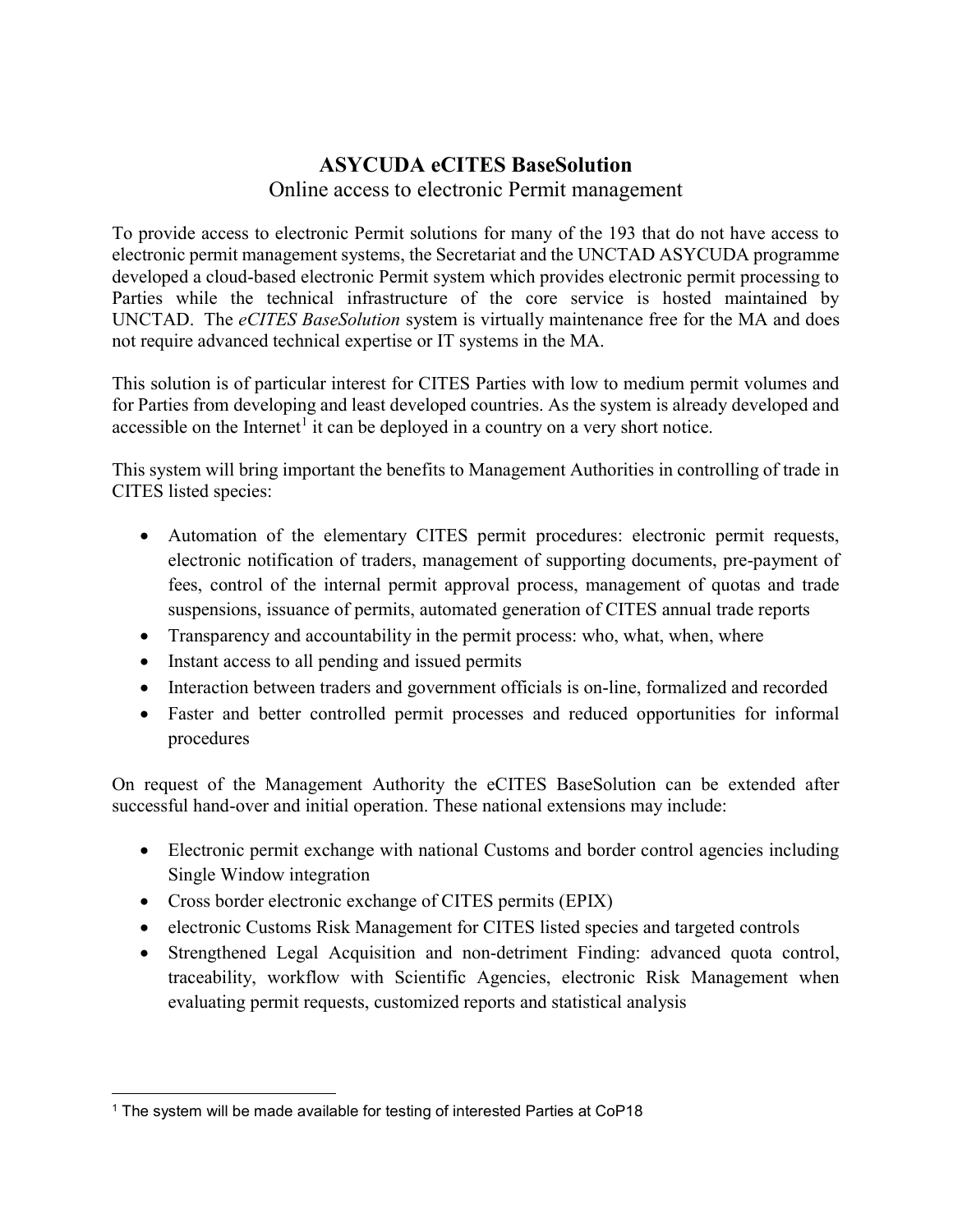## ASYCUDA eCITES BaseSolution Online access to electronic Permit management

To provide access to electronic Permit solutions for many of the 193 that do not have access to electronic permit management systems, the Secretariat and the UNCTAD ASYCUDA programme developed a cloud-based electronic Permit system which provides electronic permit processing to Parties while the technical infrastructure of the core service is hosted maintained by UNCTAD. The *eCITES BaseSolution* system is virtually maintenance free for the MA and does not require advanced technical expertise or IT systems in the MA.

This solution is of particular interest for CITES Parties with low to medium permit volumes and for Parties from developing and least developed countries. As the system is already developed and accessible on the Internet<sup>1</sup> it can be deployed in a country on a very short notice.

This system will bring important the benefits to Management Authorities in controlling of trade in CITES listed species:

- Automation of the elementary CITES permit procedures: electronic permit requests, electronic notification of traders, management of supporting documents, pre-payment of fees, control of the internal permit approval process, management of quotas and trade suspensions, issuance of permits, automated generation of CITES annual trade reports
- Transparency and accountability in the permit process: who, what, when, where
- Instant access to all pending and issued permits
- Interaction between traders and government officials is on-line, formalized and recorded
- Faster and better controlled permit processes and reduced opportunities for informal procedures

On request of the Management Authority the eCITES BaseSolution can be extended after successful hand-over and initial operation. These national extensions may include:

- Electronic permit exchange with national Customs and border control agencies including Single Window integration
- Cross border electronic exchange of CITES permits (EPIX)
- electronic Customs Risk Management for CITES listed species and targeted controls
- Strengthened Legal Acquisition and non-detriment Finding: advanced quota control, traceability, workflow with Scientific Agencies, electronic Risk Management when evaluating permit requests, customized reports and statistical analysis

 <sup>1</sup> The system will be made available for testing of interested Parties at CoP18